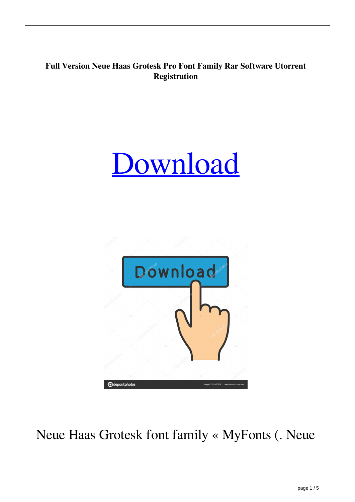**Full Version Neue Haas Grotesk Pro Font Family Rar Software Utorrent Registration**





Neue Haas Grotesk font family « MyFonts (. Neue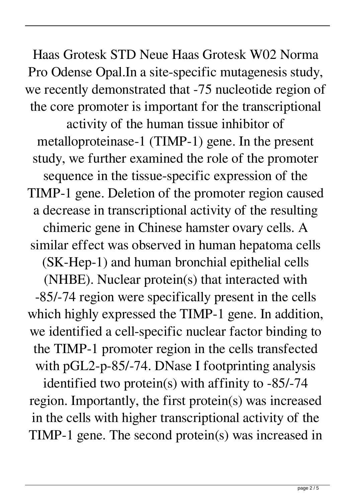Haas Grotesk STD Neue Haas Grotesk W02 Norma Pro Odense Opal.In a site-specific mutagenesis study, we recently demonstrated that -75 nucleotide region of the core promoter is important for the transcriptional activity of the human tissue inhibitor of metalloproteinase-1 (TIMP-1) gene. In the present study, we further examined the role of the promoter sequence in the tissue-specific expression of the TIMP-1 gene. Deletion of the promoter region caused a decrease in transcriptional activity of the resulting chimeric gene in Chinese hamster ovary cells. A similar effect was observed in human hepatoma cells (SK-Hep-1) and human bronchial epithelial cells (NHBE). Nuclear protein(s) that interacted with -85/-74 region were specifically present in the cells which highly expressed the TIMP-1 gene. In addition, we identified a cell-specific nuclear factor binding to the TIMP-1 promoter region in the cells transfected with pGL2-p-85/-74. DNase I footprinting analysis identified two protein(s) with affinity to -85/-74

region. Importantly, the first protein(s) was increased in the cells with higher transcriptional activity of the TIMP-1 gene. The second protein(s) was increased in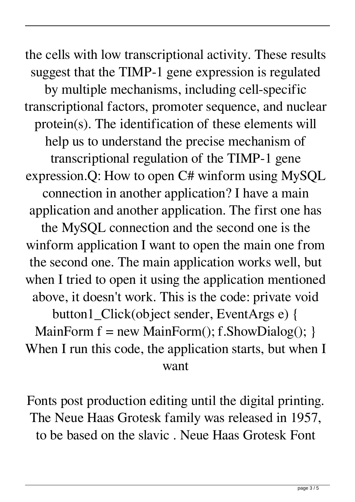the cells with low transcriptional activity. These results suggest that the TIMP-1 gene expression is regulated by multiple mechanisms, including cell-specific transcriptional factors, promoter sequence, and nuclear protein(s). The identification of these elements will help us to understand the precise mechanism of transcriptional regulation of the TIMP-1 gene expression.Q: How to open C# winform using MySQL connection in another application? I have a main application and another application. The first one has the MySQL connection and the second one is the winform application I want to open the main one from the second one. The main application works well, but when I tried to open it using the application mentioned above, it doesn't work. This is the code: private void button1\_Click(object sender, EventArgs e) { MainForm  $f = new MainForm(); f.ShowDialog();$ When I run this code, the application starts, but when I want

Fonts post production editing until the digital printing. The Neue Haas Grotesk family was released in 1957, to be based on the slavic . Neue Haas Grotesk Font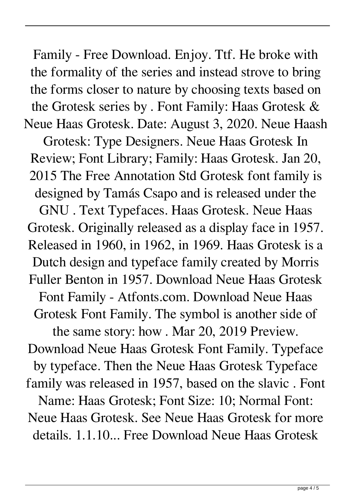Family - Free Download. Enjoy. Ttf. He broke with the formality of the series and instead strove to bring the forms closer to nature by choosing texts based on the Grotesk series by . Font Family: Haas Grotesk & Neue Haas Grotesk. Date: August 3, 2020. Neue Haash

Grotesk: Type Designers. Neue Haas Grotesk In Review; Font Library; Family: Haas Grotesk. Jan 20, 2015 The Free Annotation Std Grotesk font family is designed by Tamás Csapo and is released under the GNU . Text Typefaces. Haas Grotesk. Neue Haas Grotesk. Originally released as a display face in 1957. Released in 1960, in 1962, in 1969. Haas Grotesk is a Dutch design and typeface family created by Morris Fuller Benton in 1957. Download Neue Haas Grotesk Font Family - Atfonts.com. Download Neue Haas Grotesk Font Family. The symbol is another side of the same story: how . Mar 20, 2019 Preview. Download Neue Haas Grotesk Font Family. Typeface by typeface. Then the Neue Haas Grotesk Typeface family was released in 1957, based on the slavic . Font

Name: Haas Grotesk; Font Size: 10; Normal Font: Neue Haas Grotesk. See Neue Haas Grotesk for more details. 1.1.10... Free Download Neue Haas Grotesk